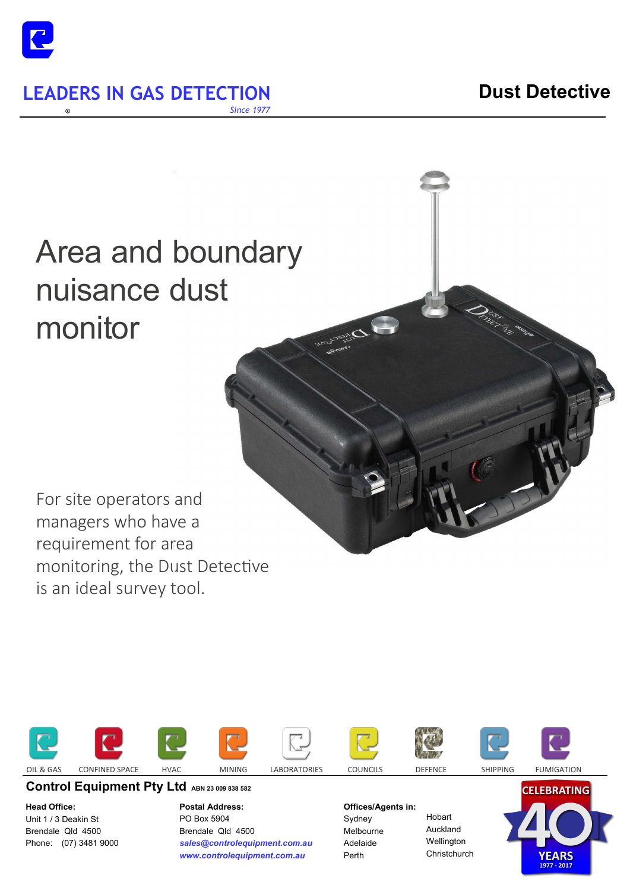

**LEADERS IN GAS DETECTION 6.0 DUST DUST DETECTION** *Since 1977* 

# Area and boundary nuisance dust monitor

For site operators and managers who have a requirement for area monitoring, the Dust Detective is an ideal survey tool.













Control Equipment Pty Ltd ABN 23 009 838 582

**Head Office:**  Unit 1 / 3 Deakin St Brendale Qld 4500 Phone: (07) 3481 9000 **Postal Address:**  PO Box 5904 Brendale Qld 4500 *sales@controlequipment.com.au www.controlequipment.com.au*

**Offices/Agents in:** 

Sydney Melbourne Adelaide Perth

Hobart Auckland Wellington **Christchurch**